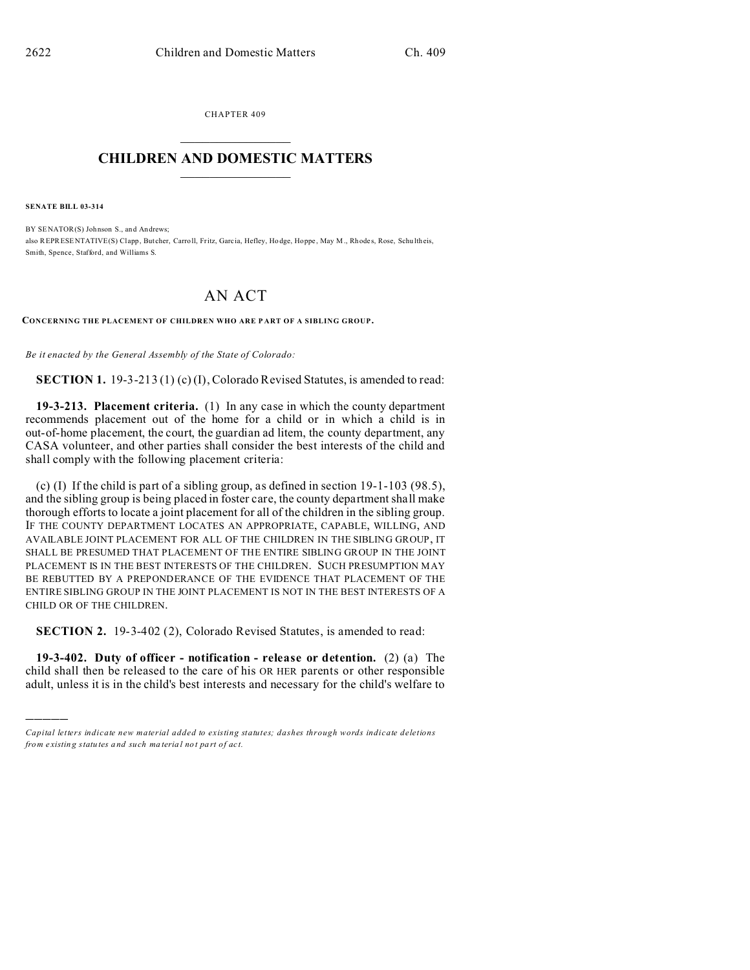CHAPTER 409  $\overline{\phantom{a}}$  , where  $\overline{\phantom{a}}$ 

## **CHILDREN AND DOMESTIC MATTERS**  $\_$   $\_$

**SENATE BILL 03-314**

)))))

BY SENATOR(S) Johnson S., and Andrews; also REPRESENTATIVE(S) Clapp, Butcher, Carroll, Fritz, Garcia, Hefley, Hodge, Hoppe, May M., Rhodes, Rose, Schultheis, Smith, Spence, Stafford, and Williams S.

## AN ACT

**CONCERNING THE PLACEMENT OF CHILDREN WHO ARE P ART OF A SIBLING GROUP.**

*Be it enacted by the General Assembly of the State of Colorado:*

**SECTION 1.** 19-3-213 (1) (c) (I), Colorado Revised Statutes, is amended to read:

**19-3-213. Placement criteria.** (1) In any case in which the county department recommends placement out of the home for a child or in which a child is in out-of-home placement, the court, the guardian ad litem, the county department, any CASA volunteer, and other parties shall consider the best interests of the child and shall comply with the following placement criteria:

(c) (I) If the child is part of a sibling group, as defined in section 19-1-103 (98.5), and the sibling group is being placed in foster care, the county department shall make thorough efforts to locate a joint placement for all of the children in the sibling group. IF THE COUNTY DEPARTMENT LOCATES AN APPROPRIATE, CAPABLE, WILLING, AND AVAILABLE JOINT PLACEMENT FOR ALL OF THE CHILDREN IN THE SIBLING GROUP, IT SHALL BE PRESUMED THAT PLACEMENT OF THE ENTIRE SIBLING GROUP IN THE JOINT PLACEMENT IS IN THE BEST INTERESTS OF THE CHILDREN. SUCH PRESUMPTION MAY BE REBUTTED BY A PREPONDERANCE OF THE EVIDENCE THAT PLACEMENT OF THE ENTIRE SIBLING GROUP IN THE JOINT PLACEMENT IS NOT IN THE BEST INTERESTS OF A CHILD OR OF THE CHILDREN.

**SECTION 2.** 19-3-402 (2), Colorado Revised Statutes, is amended to read:

**19-3-402. Duty of officer - notification - release or detention.** (2) (a) The child shall then be released to the care of his OR HER parents or other responsible adult, unless it is in the child's best interests and necessary for the child's welfare to

*Capital letters indicate new material added to existing statutes; dashes through words indicate deletions from e xistin g statu tes a nd such ma teria l no t pa rt of ac t.*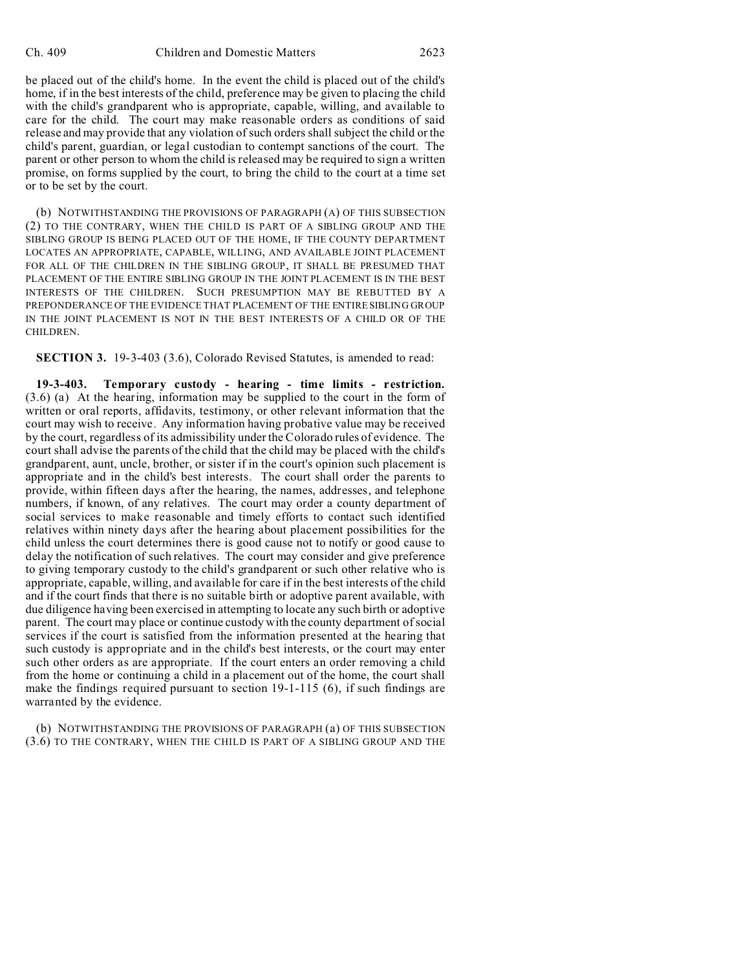be placed out of the child's home. In the event the child is placed out of the child's home, if in the best interests of the child, preference may be given to placing the child with the child's grandparent who is appropriate, capable, willing, and available to care for the child. The court may make reasonable orders as conditions of said release and may provide that any violation of such orders shall subject the child or the child's parent, guardian, or legal custodian to contempt sanctions of the court. The parent or other person to whom the child is released may be required to sign a written promise, on forms supplied by the court, to bring the child to the court at a time set or to be set by the court.

(b) NOTWITHSTANDING THE PROVISIONS OF PARAGRAPH (A) OF THIS SUBSECTION (2) TO THE CONTRARY, WHEN THE CHILD IS PART OF A SIBLING GROUP AND THE SIBLING GROUP IS BEING PLACED OUT OF THE HOME, IF THE COUNTY DEPARTMENT LOCATES AN APPROPRIATE, CAPABLE, WILLING, AND AVAILABLE JOINT PLACEMENT FOR ALL OF THE CHILDREN IN THE SIBLING GROUP, IT SHALL BE PRESUMED THAT PLACEMENT OF THE ENTIRE SIBLING GROUP IN THE JOINT PLACEMENT IS IN THE BEST INTERESTS OF THE CHILDREN. SUCH PRESUMPTION MAY BE REBUTTED BY A PREPONDERANCE OF THE EVIDENCE THAT PLACEMENT OF THE ENTIRE SIBLING GROUP IN THE JOINT PLACEMENT IS NOT IN THE BEST INTERESTS OF A CHILD OR OF THE CHILDREN.

**SECTION 3.** 19-3-403 (3.6), Colorado Revised Statutes, is amended to read:

**19-3-403. Temporary custody - hearing - time limits - restriction.** (3.6) (a) At the hearing, information may be supplied to the court in the form of written or oral reports, affidavits, testimony, or other relevant information that the court may wish to receive. Any information having probative value may be received by the court, regardless of its admissibility under the Colorado rules of evidence. The court shall advise the parents of the child that the child may be placed with the child's grandparent, aunt, uncle, brother, or sister if in the court's opinion such placement is appropriate and in the child's best interests. The court shall order the parents to provide, within fifteen days after the hearing, the names, addresses, and telephone numbers, if known, of any relatives. The court may order a county department of social services to make reasonable and timely efforts to contact such identified relatives within ninety days after the hearing about placement possibilities for the child unless the court determines there is good cause not to notify or good cause to delay the notification of such relatives. The court may consider and give preference to giving temporary custody to the child's grandparent or such other relative who is appropriate, capable, willing, and available for care if in the best interests of the child and if the court finds that there is no suitable birth or adoptive parent available, with due diligence having been exercised in attempting to locate any such birth or adoptive parent. The court may place or continue custody with the county department of social services if the court is satisfied from the information presented at the hearing that such custody is appropriate and in the child's best interests, or the court may enter such other orders as are appropriate. If the court enters an order removing a child from the home or continuing a child in a placement out of the home, the court shall make the findings required pursuant to section 19-1-115 (6), if such findings are warranted by the evidence.

(b) NOTWITHSTANDING THE PROVISIONS OF PARAGRAPH (a) OF THIS SUBSECTION (3.6) TO THE CONTRARY, WHEN THE CHILD IS PART OF A SIBLING GROUP AND THE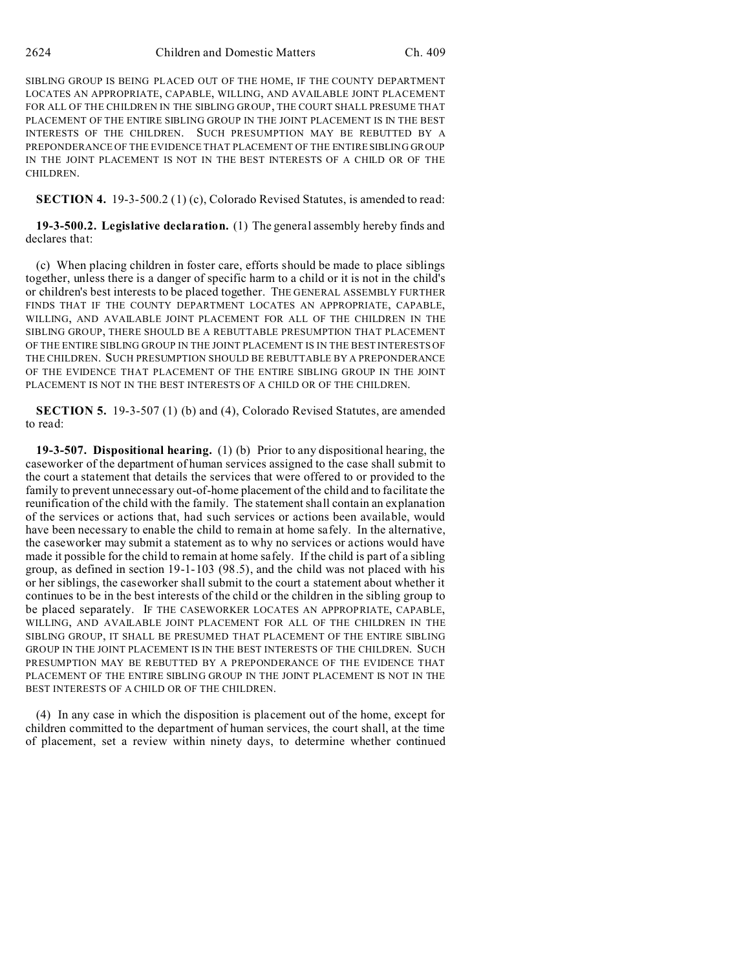SIBLING GROUP IS BEING PLACED OUT OF THE HOME, IF THE COUNTY DEPARTMENT LOCATES AN APPROPRIATE, CAPABLE, WILLING, AND AVAILABLE JOINT PLACEMENT FOR ALL OF THE CHILDREN IN THE SIBLING GROUP, THE COURT SHALL PRESUME THAT PLACEMENT OF THE ENTIRE SIBLING GROUP IN THE JOINT PLACEMENT IS IN THE BEST INTERESTS OF THE CHILDREN. SUCH PRESUMPTION MAY BE REBUTTED BY A PREPONDERANCE OF THE EVIDENCE THAT PLACEMENT OF THE ENTIRE SIBLING GROUP IN THE JOINT PLACEMENT IS NOT IN THE BEST INTERESTS OF A CHILD OR OF THE CHILDREN.

**SECTION 4.** 19-3-500.2 (1) (c), Colorado Revised Statutes, is amended to read:

**19-3-500.2. Legislative declaration.** (1) The general assembly hereby finds and declares that:

(c) When placing children in foster care, efforts should be made to place siblings together, unless there is a danger of specific harm to a child or it is not in the child's or children's best interests to be placed together. THE GENERAL ASSEMBLY FURTHER FINDS THAT IF THE COUNTY DEPARTMENT LOCATES AN APPROPRIATE, CAPABLE, WILLING, AND AVAILABLE JOINT PLACEMENT FOR ALL OF THE CHILDREN IN THE SIBLING GROUP, THERE SHOULD BE A REBUTTABLE PRESUMPTION THAT PLACEMENT OF THE ENTIRE SIBLING GROUP IN THE JOINT PLACEMENT IS IN THE BEST INTERESTS OF THE CHILDREN. SUCH PRESUMPTION SHOULD BE REBUTTABLE BY A PREPONDERANCE OF THE EVIDENCE THAT PLACEMENT OF THE ENTIRE SIBLING GROUP IN THE JOINT PLACEMENT IS NOT IN THE BEST INTERESTS OF A CHILD OR OF THE CHILDREN.

**SECTION 5.** 19-3-507 (1) (b) and (4), Colorado Revised Statutes, are amended to read:

**19-3-507. Dispositional hearing.** (1) (b) Prior to any dispositional hearing, the caseworker of the department of human services assigned to the case shall submit to the court a statement that details the services that were offered to or provided to the family to prevent unnecessary out-of-home placement of the child and to facilitate the reunification of the child with the family. The statement shall contain an explanation of the services or actions that, had such services or actions been available, would have been necessary to enable the child to remain at home safely. In the alternative, the caseworker may submit a statement as to why no services or actions would have made it possible for the child to remain at home safely. If the child is part of a sibling group, as defined in section 19-1-103 (98.5), and the child was not placed with his or her siblings, the caseworker shall submit to the court a statement about whether it continues to be in the best interests of the child or the children in the sibling group to be placed separately. IF THE CASEWORKER LOCATES AN APPROPRIATE, CAPABLE, WILLING, AND AVAILABLE JOINT PLACEMENT FOR ALL OF THE CHILDREN IN THE SIBLING GROUP, IT SHALL BE PRESUMED THAT PLACEMENT OF THE ENTIRE SIBLING GROUP IN THE JOINT PLACEMENT IS IN THE BEST INTERESTS OF THE CHILDREN. SUCH PRESUMPTION MAY BE REBUTTED BY A PREPONDERANCE OF THE EVIDENCE THAT PLACEMENT OF THE ENTIRE SIBLING GROUP IN THE JOINT PLACEMENT IS NOT IN THE BEST INTERESTS OF A CHILD OR OF THE CHILDREN.

(4) In any case in which the disposition is placement out of the home, except for children committed to the department of human services, the court shall, at the time of placement, set a review within ninety days, to determine whether continued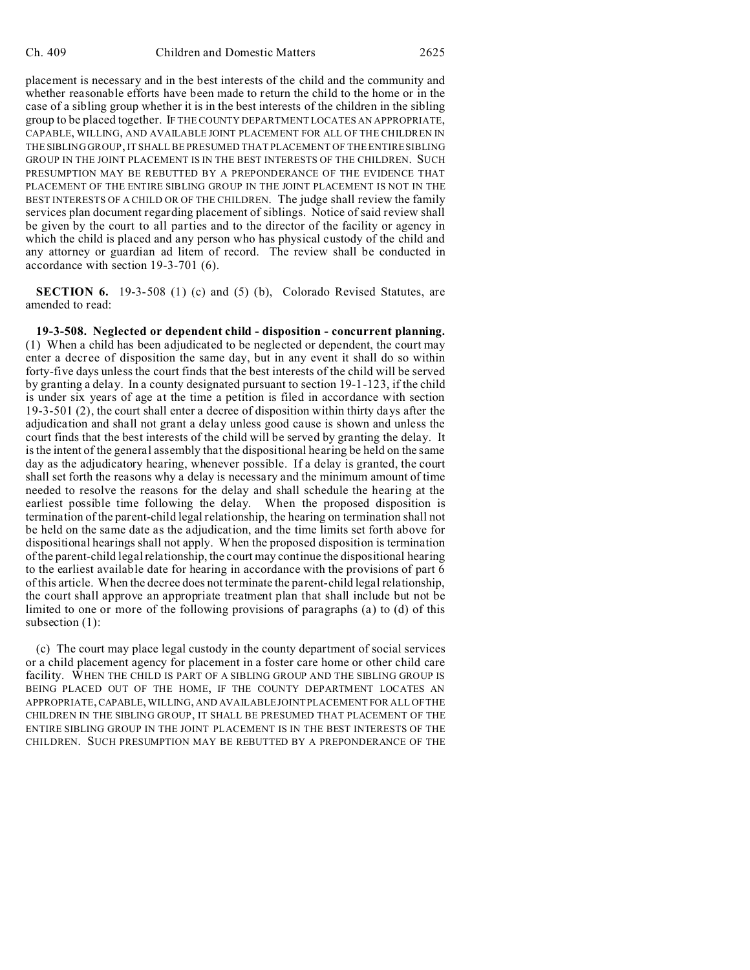placement is necessary and in the best interests of the child and the community and whether reasonable efforts have been made to return the child to the home or in the case of a sibling group whether it is in the best interests of the children in the sibling group to be placed together. IF THE COUNTY DEPARTMENT LOCATES AN APPROPRIATE, CAPABLE, WILLING, AND AVAILABLE JOINT PLACEMENT FOR ALL OF THE CHILDREN IN THE SIBLING GROUP, IT SHALL BE PRESUMED THAT PLACEMENT OF THE ENTIRE SIBLING GROUP IN THE JOINT PLACEMENT IS IN THE BEST INTERESTS OF THE CHILDREN. SUCH PRESUMPTION MAY BE REBUTTED BY A PREPONDERANCE OF THE EVIDENCE THAT PLACEMENT OF THE ENTIRE SIBLING GROUP IN THE JOINT PLACEMENT IS NOT IN THE BEST INTERESTS OF A CHILD OR OF THE CHILDREN. The judge shall review the family services plan document regarding placement of siblings. Notice of said review shall be given by the court to all parties and to the director of the facility or agency in which the child is placed and any person who has physical custody of the child and any attorney or guardian ad litem of record. The review shall be conducted in accordance with section 19-3-701 (6).

**SECTION 6.** 19-3-508 (1) (c) and (5) (b), Colorado Revised Statutes, are amended to read:

**19-3-508. Neglected or dependent child - disposition - concurrent planning.** (1) When a child has been adjudicated to be neglected or dependent, the court may enter a decree of disposition the same day, but in any event it shall do so within forty-five days unless the court finds that the best interests of the child will be served by granting a delay. In a county designated pursuant to section 19-1-123, if the child is under six years of age at the time a petition is filed in accordance with section 19-3-501 (2), the court shall enter a decree of disposition within thirty days after the adjudication and shall not grant a delay unless good cause is shown and unless the court finds that the best interests of the child will be served by granting the delay. It is the intent of the general assembly that the dispositional hearing be held on the same day as the adjudicatory hearing, whenever possible. If a delay is granted, the court shall set forth the reasons why a delay is necessary and the minimum amount of time needed to resolve the reasons for the delay and shall schedule the hearing at the earliest possible time following the delay. When the proposed disposition is termination of the parent-child legal relationship, the hearing on termination shall not be held on the same date as the adjudication, and the time limits set forth above for dispositional hearings shall not apply. When the proposed disposition is termination of the parent-child legal relationship, the court may continue the dispositional hearing to the earliest available date for hearing in accordance with the provisions of part 6 of this article. When the decree does not terminate the parent-child legal relationship, the court shall approve an appropriate treatment plan that shall include but not be limited to one or more of the following provisions of paragraphs (a) to (d) of this subsection (1):

(c) The court may place legal custody in the county department of social services or a child placement agency for placement in a foster care home or other child care facility. WHEN THE CHILD IS PART OF A SIBLING GROUP AND THE SIBLING GROUP IS BEING PLACED OUT OF THE HOME, IF THE COUNTY DEPARTMENT LOCATES AN APPROPRIATE, CAPABLE, WILLING, AND AVAILABLE JOINT PLACEMENT FOR ALL OF THE CHILDREN IN THE SIBLING GROUP, IT SHALL BE PRESUMED THAT PLACEMENT OF THE ENTIRE SIBLING GROUP IN THE JOINT PLACEMENT IS IN THE BEST INTERESTS OF THE CHILDREN. SUCH PRESUMPTION MAY BE REBUTTED BY A PREPONDERANCE OF THE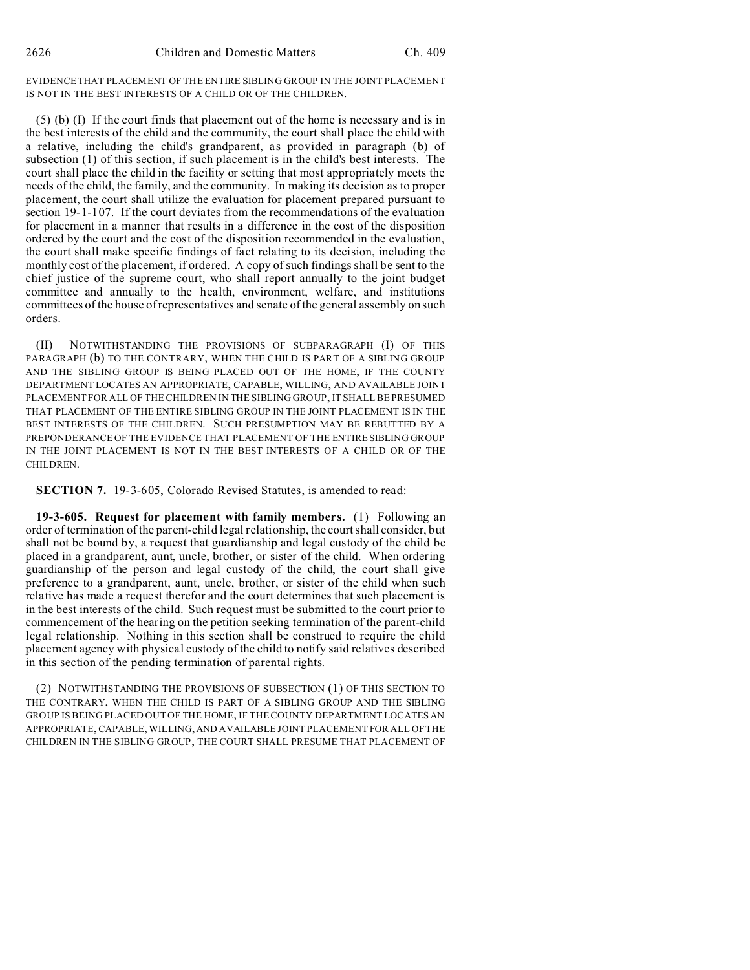EVIDENCE THAT PLACEMENT OF THE ENTIRE SIBLING GROUP IN THE JOINT PLACEMENT IS NOT IN THE BEST INTERESTS OF A CHILD OR OF THE CHILDREN.

(5) (b) (I) If the court finds that placement out of the home is necessary and is in the best interests of the child and the community, the court shall place the child with a relative, including the child's grandparent, as provided in paragraph (b) of subsection (1) of this section, if such placement is in the child's best interests. The court shall place the child in the facility or setting that most appropriately meets the needs of the child, the family, and the community. In making its decision as to proper placement, the court shall utilize the evaluation for placement prepared pursuant to section 19-1-107. If the court deviates from the recommendations of the evaluation for placement in a manner that results in a difference in the cost of the disposition ordered by the court and the cost of the disposition recommended in the evaluation, the court shall make specific findings of fact relating to its decision, including the monthly cost of the placement, if ordered. A copy of such findings shall be sent to the chief justice of the supreme court, who shall report annually to the joint budget committee and annually to the health, environment, welfare, and institutions committees of the house of representatives and senate of the general assembly on such orders.

(II) NOTWITHSTANDING THE PROVISIONS OF SUBPARAGRAPH (I) OF THIS PARAGRAPH (b) TO THE CONTRARY, WHEN THE CHILD IS PART OF A SIBLING GROUP AND THE SIBLING GROUP IS BEING PLACED OUT OF THE HOME, IF THE COUNTY DEPARTMENT LOCATES AN APPROPRIATE, CAPABLE, WILLING, AND AVAILABLE JOINT PLACEMENT FOR ALL OF THE CHILDREN IN THE SIBLING GROUP, IT SHALL BE PRESUMED THAT PLACEMENT OF THE ENTIRE SIBLING GROUP IN THE JOINT PLACEMENT IS IN THE BEST INTERESTS OF THE CHILDREN. SUCH PRESUMPTION MAY BE REBUTTED BY A PREPONDERANCE OF THE EVIDENCE THAT PLACEMENT OF THE ENTIRE SIBLING GROUP IN THE JOINT PLACEMENT IS NOT IN THE BEST INTERESTS OF A CHILD OR OF THE CHILDREN.

**SECTION 7.** 19-3-605, Colorado Revised Statutes, is amended to read:

**19-3-605. Request for placement with family members.** (1) Following an order of termination of the parent-child legal relationship, the court shall consider, but shall not be bound by, a request that guardianship and legal custody of the child be placed in a grandparent, aunt, uncle, brother, or sister of the child. When ordering guardianship of the person and legal custody of the child, the court shall give preference to a grandparent, aunt, uncle, brother, or sister of the child when such relative has made a request therefor and the court determines that such placement is in the best interests of the child. Such request must be submitted to the court prior to commencement of the hearing on the petition seeking termination of the parent-child legal relationship. Nothing in this section shall be construed to require the child placement agency with physical custody of the child to notify said relatives described in this section of the pending termination of parental rights.

(2) NOTWITHSTANDING THE PROVISIONS OF SUBSECTION (1) OF THIS SECTION TO THE CONTRARY, WHEN THE CHILD IS PART OF A SIBLING GROUP AND THE SIBLING GROUP IS BEING PLACED OUT OF THE HOME, IF THE COUNTY DEPARTMENT LOCATES AN APPROPRIATE, CAPABLE, WILLING,AND AVAILABLE JOINT PLACEMENT FOR ALL OF THE CHILDREN IN THE SIBLING GROUP, THE COURT SHALL PRESUME THAT PLACEMENT OF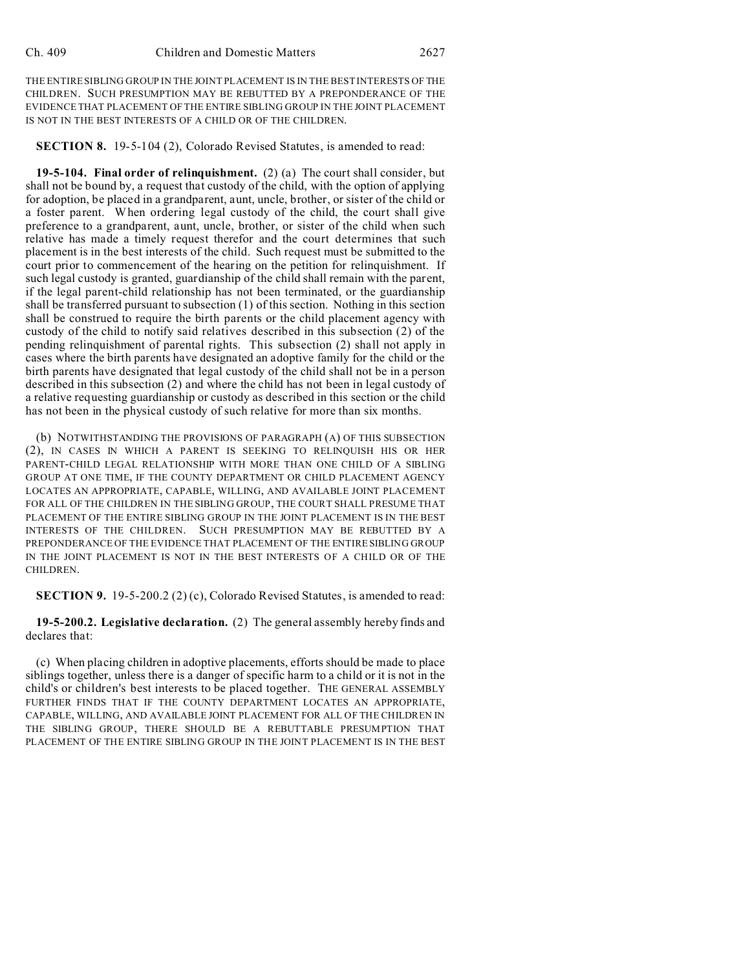THE ENTIRE SIBLING GROUP IN THE JOINT PLACEMENT IS IN THE BEST INTERESTS OF THE CHILDREN. SUCH PRESUMPTION MAY BE REBUTTED BY A PREPONDERANCE OF THE EVIDENCE THAT PLACEMENT OF THE ENTIRE SIBLING GROUP IN THE JOINT PLACEMENT IS NOT IN THE BEST INTERESTS OF A CHILD OR OF THE CHILDREN.

**SECTION 8.** 19-5-104 (2), Colorado Revised Statutes, is amended to read:

**19-5-104. Final order of relinquishment.** (2) (a) The court shall consider, but shall not be bound by, a request that custody of the child, with the option of applying for adoption, be placed in a grandparent, aunt, uncle, brother, or sister of the child or a foster parent. When ordering legal custody of the child, the court shall give preference to a grandparent, aunt, uncle, brother, or sister of the child when such relative has made a timely request therefor and the court determines that such placement is in the best interests of the child. Such request must be submitted to the court prior to commencement of the hearing on the petition for relinquishment. If such legal custody is granted, guardianship of the child shall remain with the parent, if the legal parent-child relationship has not been terminated, or the guardianship shall be transferred pursuant to subsection (1) of this section. Nothing in this section shall be construed to require the birth parents or the child placement agency with custody of the child to notify said relatives described in this subsection (2) of the pending relinquishment of parental rights. This subsection (2) shall not apply in cases where the birth parents have designated an adoptive family for the child or the birth parents have designated that legal custody of the child shall not be in a person described in this subsection (2) and where the child has not been in legal custody of a relative requesting guardianship or custody as described in this section or the child has not been in the physical custody of such relative for more than six months.

(b) NOTWITHSTANDING THE PROVISIONS OF PARAGRAPH (A) OF THIS SUBSECTION (2), IN CASES IN WHICH A PARENT IS SEEKING TO RELINQUISH HIS OR HER PARENT-CHILD LEGAL RELATIONSHIP WITH MORE THAN ONE CHILD OF A SIBLING GROUP AT ONE TIME, IF THE COUNTY DEPARTMENT OR CHILD PLACEMENT AGENCY LOCATES AN APPROPRIATE, CAPABLE, WILLING, AND AVAILABLE JOINT PLACEMENT FOR ALL OF THE CHILDREN IN THE SIBLING GROUP, THE COURT SHALL PRESUME THAT PLACEMENT OF THE ENTIRE SIBLING GROUP IN THE JOINT PLACEMENT IS IN THE BEST INTERESTS OF THE CHILDREN. SUCH PRESUMPTION MAY BE REBUTTED BY A PREPONDERANCE OF THE EVIDENCE THAT PLACEMENT OF THE ENTIRE SIBLING GROUP IN THE JOINT PLACEMENT IS NOT IN THE BEST INTERESTS OF A CHILD OR OF THE CHILDREN.

**SECTION 9.** 19-5-200.2 (2) (c), Colorado Revised Statutes, is amended to read:

**19-5-200.2. Legislative declaration.** (2) The general assembly hereby finds and declares that:

(c) When placing children in adoptive placements, efforts should be made to place siblings together, unless there is a danger of specific harm to a child or it is not in the child's or children's best interests to be placed together. THE GENERAL ASSEMBLY FURTHER FINDS THAT IF THE COUNTY DEPARTMENT LOCATES AN APPROPRIATE, CAPABLE, WILLING, AND AVAILABLE JOINT PLACEMENT FOR ALL OF THE CHILDREN IN THE SIBLING GROUP, THERE SHOULD BE A REBUTTABLE PRESUMPTION THAT PLACEMENT OF THE ENTIRE SIBLING GROUP IN THE JOINT PLACEMENT IS IN THE BEST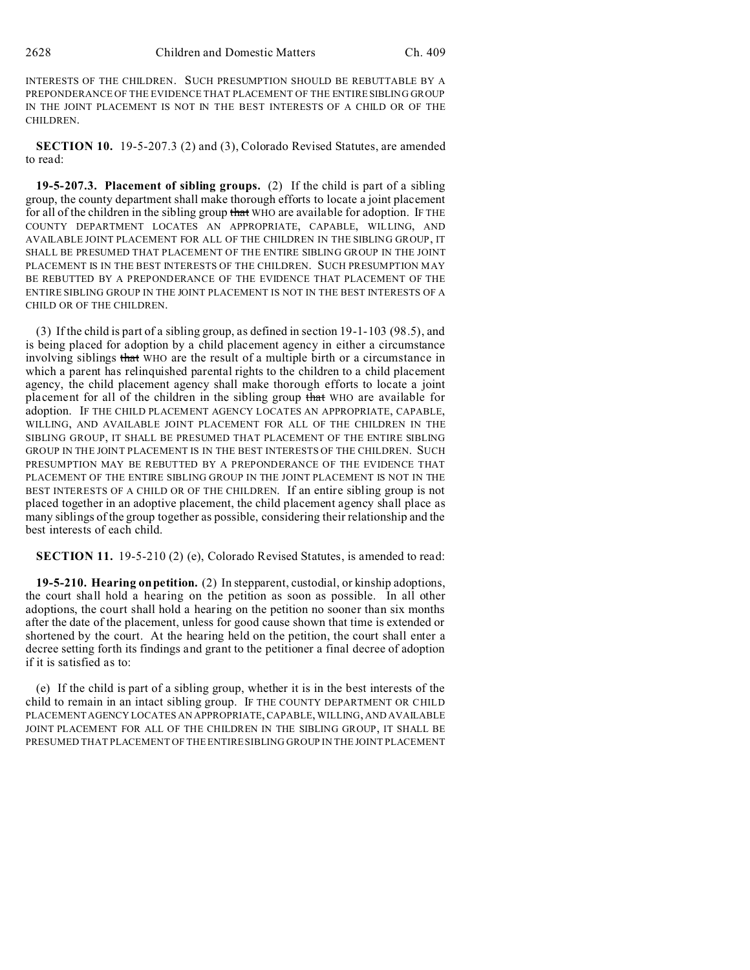INTERESTS OF THE CHILDREN. SUCH PRESUMPTION SHOULD BE REBUTTABLE BY A PREPONDERANCE OF THE EVIDENCE THAT PLACEMENT OF THE ENTIRE SIBLING GROUP IN THE JOINT PLACEMENT IS NOT IN THE BEST INTERESTS OF A CHILD OR OF THE CHILDREN.

**SECTION 10.** 19-5-207.3 (2) and (3), Colorado Revised Statutes, are amended to read:

**19-5-207.3. Placement of sibling groups.** (2) If the child is part of a sibling group, the county department shall make thorough efforts to locate a joint placement for all of the children in the sibling group that WHO are available for adoption. IF THE COUNTY DEPARTMENT LOCATES AN APPROPRIATE, CAPABLE, WILLING, AND AVAILABLE JOINT PLACEMENT FOR ALL OF THE CHILDREN IN THE SIBLING GROUP, IT SHALL BE PRESUMED THAT PLACEMENT OF THE ENTIRE SIBLING GROUP IN THE JOINT PLACEMENT IS IN THE BEST INTERESTS OF THE CHILDREN. SUCH PRESUMPTION MAY BE REBUTTED BY A PREPONDERANCE OF THE EVIDENCE THAT PLACEMENT OF THE ENTIRE SIBLING GROUP IN THE JOINT PLACEMENT IS NOT IN THE BEST INTERESTS OF A CHILD OR OF THE CHILDREN.

(3) If the child is part of a sibling group, as defined in section 19-1-103 (98.5), and is being placed for adoption by a child placement agency in either a circumstance involving siblings that WHO are the result of a multiple birth or a circumstance in which a parent has relinquished parental rights to the children to a child placement agency, the child placement agency shall make thorough efforts to locate a joint placement for all of the children in the sibling group that WHO are available for adoption. IF THE CHILD PLACEMENT AGENCY LOCATES AN APPROPRIATE, CAPABLE, WILLING, AND AVAILABLE JOINT PLACEMENT FOR ALL OF THE CHILDREN IN THE SIBLING GROUP, IT SHALL BE PRESUMED THAT PLACEMENT OF THE ENTIRE SIBLING GROUP IN THE JOINT PLACEMENT IS IN THE BEST INTERESTS OF THE CHILDREN. SUCH PRESUMPTION MAY BE REBUTTED BY A PREPONDERANCE OF THE EVIDENCE THAT PLACEMENT OF THE ENTIRE SIBLING GROUP IN THE JOINT PLACEMENT IS NOT IN THE BEST INTERESTS OF A CHILD OR OF THE CHILDREN. If an entire sibling group is not placed together in an adoptive placement, the child placement agency shall place as many siblings of the group together as possible, considering their relationship and the best interests of each child.

**SECTION 11.** 19-5-210 (2) (e), Colorado Revised Statutes, is amended to read:

**19-5-210. Hearing on petition.** (2) In stepparent, custodial, or kinship adoptions, the court shall hold a hearing on the petition as soon as possible. In all other adoptions, the court shall hold a hearing on the petition no sooner than six months after the date of the placement, unless for good cause shown that time is extended or shortened by the court. At the hearing held on the petition, the court shall enter a decree setting forth its findings and grant to the petitioner a final decree of adoption if it is satisfied as to:

(e) If the child is part of a sibling group, whether it is in the best interests of the child to remain in an intact sibling group. IF THE COUNTY DEPARTMENT OR CHILD PLACEMENT AGENCY LOCATES AN APPROPRIATE, CAPABLE, WILLING, AND AVAILABLE JOINT PLACEMENT FOR ALL OF THE CHILDREN IN THE SIBLING GROUP, IT SHALL BE PRESUMED THAT PLACEMENT OF THE ENTIRE SIBLING GROUP IN THE JOINT PLACEMENT